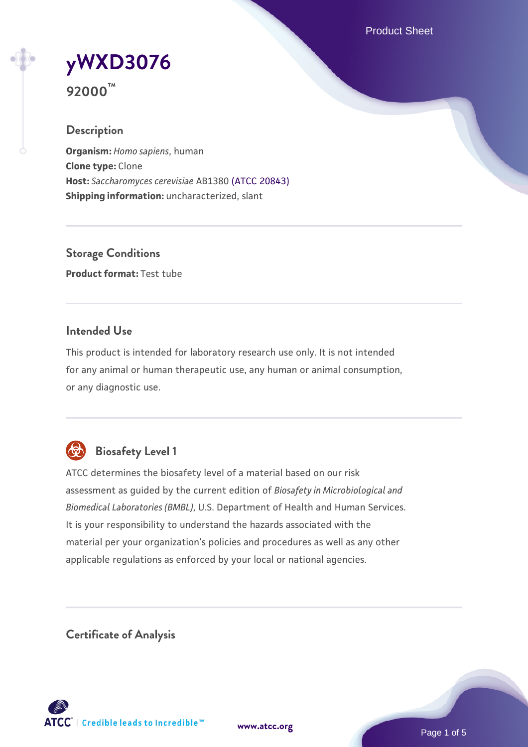Product Sheet

# **[yWXD3076](https://www.atcc.org/products/92000) 92000™**

# **Description**

**Organism:** *Homo sapiens*, human **Clone type:** Clone **Host:** *Saccharomyces cerevisiae* AB1380 [\(ATCC 20843\)](https://www.atcc.org/products/20843) **Shipping information:** uncharacterized, slant

**Storage Conditions Product format:** Test tube

# **Intended Use**

This product is intended for laboratory research use only. It is not intended for any animal or human therapeutic use, any human or animal consumption, or any diagnostic use.



# **Biosafety Level 1**

ATCC determines the biosafety level of a material based on our risk assessment as guided by the current edition of *Biosafety in Microbiological and Biomedical Laboratories (BMBL)*, U.S. Department of Health and Human Services. It is your responsibility to understand the hazards associated with the material per your organization's policies and procedures as well as any other applicable regulations as enforced by your local or national agencies.

**Certificate of Analysis**

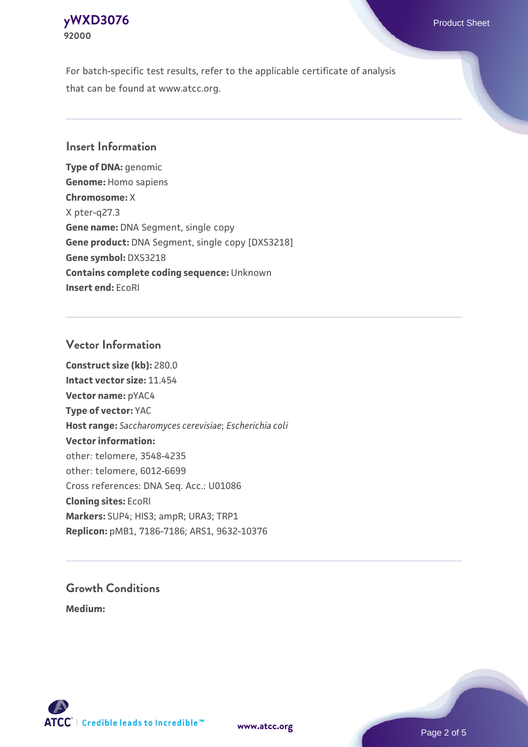# **[yWXD3076](https://www.atcc.org/products/92000)** Product Sheet **92000**

For batch-specific test results, refer to the applicable certificate of analysis that can be found at www.atcc.org.

# **Insert Information**

**Type of DNA:** genomic **Genome:** Homo sapiens **Chromosome:** X X pter-q27.3 **Gene name:** DNA Segment, single copy **Gene product:** DNA Segment, single copy [DXS3218] **Gene symbol:** DXS3218 **Contains complete coding sequence:** Unknown **Insert end:** EcoRI

# **Vector Information**

**Construct size (kb):** 280.0 **Intact vector size:** 11.454 **Vector name:** pYAC4 **Type of vector:** YAC **Host range:** *Saccharomyces cerevisiae*; *Escherichia coli* **Vector information:** other: telomere, 3548-4235 other: telomere, 6012-6699 Cross references: DNA Seq. Acc.: U01086 **Cloning sites:** EcoRI **Markers:** SUP4; HIS3; ampR; URA3; TRP1 **Replicon:** pMB1, 7186-7186; ARS1, 9632-10376

# **Growth Conditions**

**Medium:** 



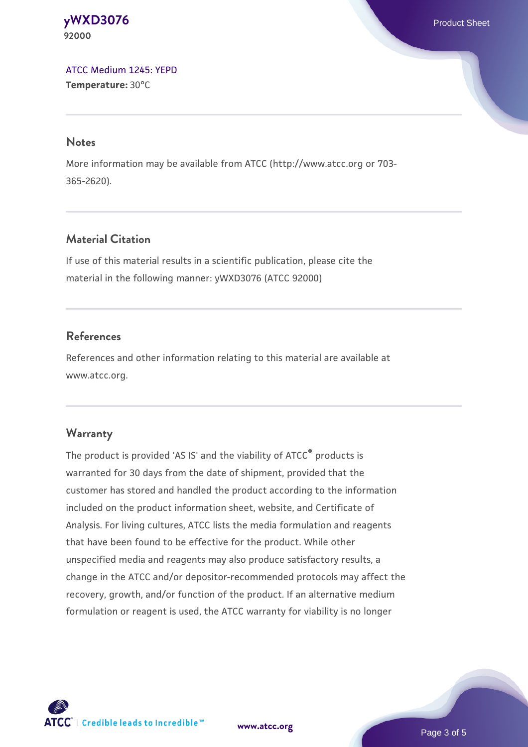**[yWXD3076](https://www.atcc.org/products/92000)** Product Sheet **92000**

[ATCC Medium 1245: YEPD](https://www.atcc.org/-/media/product-assets/documents/microbial-media-formulations/1/2/4/5/atcc-medium-1245.pdf?rev=705ca55d1b6f490a808a965d5c072196) **Temperature:** 30°C

#### **Notes**

More information may be available from ATCC (http://www.atcc.org or 703- 365-2620).

# **Material Citation**

If use of this material results in a scientific publication, please cite the material in the following manner: yWXD3076 (ATCC 92000)

# **References**

References and other information relating to this material are available at www.atcc.org.

#### **Warranty**

The product is provided 'AS IS' and the viability of ATCC® products is warranted for 30 days from the date of shipment, provided that the customer has stored and handled the product according to the information included on the product information sheet, website, and Certificate of Analysis. For living cultures, ATCC lists the media formulation and reagents that have been found to be effective for the product. While other unspecified media and reagents may also produce satisfactory results, a change in the ATCC and/or depositor-recommended protocols may affect the recovery, growth, and/or function of the product. If an alternative medium formulation or reagent is used, the ATCC warranty for viability is no longer

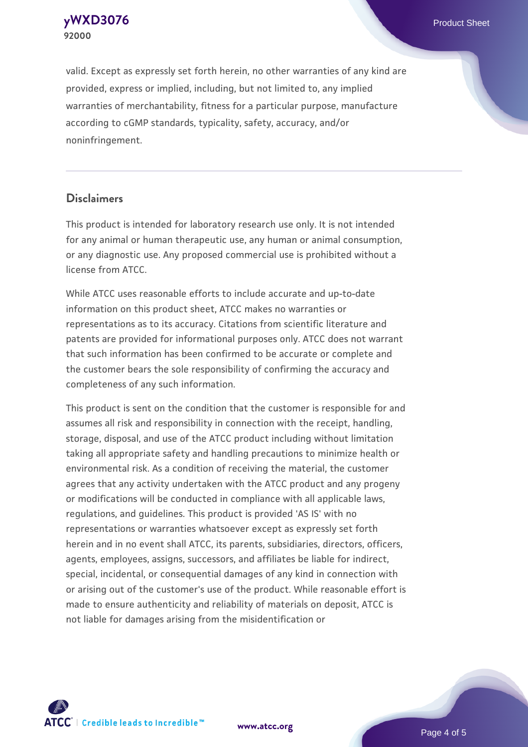**[yWXD3076](https://www.atcc.org/products/92000)** Product Sheet **92000**

valid. Except as expressly set forth herein, no other warranties of any kind are provided, express or implied, including, but not limited to, any implied warranties of merchantability, fitness for a particular purpose, manufacture according to cGMP standards, typicality, safety, accuracy, and/or noninfringement.

#### **Disclaimers**

This product is intended for laboratory research use only. It is not intended for any animal or human therapeutic use, any human or animal consumption, or any diagnostic use. Any proposed commercial use is prohibited without a license from ATCC.

While ATCC uses reasonable efforts to include accurate and up-to-date information on this product sheet, ATCC makes no warranties or representations as to its accuracy. Citations from scientific literature and patents are provided for informational purposes only. ATCC does not warrant that such information has been confirmed to be accurate or complete and the customer bears the sole responsibility of confirming the accuracy and completeness of any such information.

This product is sent on the condition that the customer is responsible for and assumes all risk and responsibility in connection with the receipt, handling, storage, disposal, and use of the ATCC product including without limitation taking all appropriate safety and handling precautions to minimize health or environmental risk. As a condition of receiving the material, the customer agrees that any activity undertaken with the ATCC product and any progeny or modifications will be conducted in compliance with all applicable laws, regulations, and guidelines. This product is provided 'AS IS' with no representations or warranties whatsoever except as expressly set forth herein and in no event shall ATCC, its parents, subsidiaries, directors, officers, agents, employees, assigns, successors, and affiliates be liable for indirect, special, incidental, or consequential damages of any kind in connection with or arising out of the customer's use of the product. While reasonable effort is made to ensure authenticity and reliability of materials on deposit, ATCC is not liable for damages arising from the misidentification or



**[www.atcc.org](http://www.atcc.org)**

Page 4 of 5